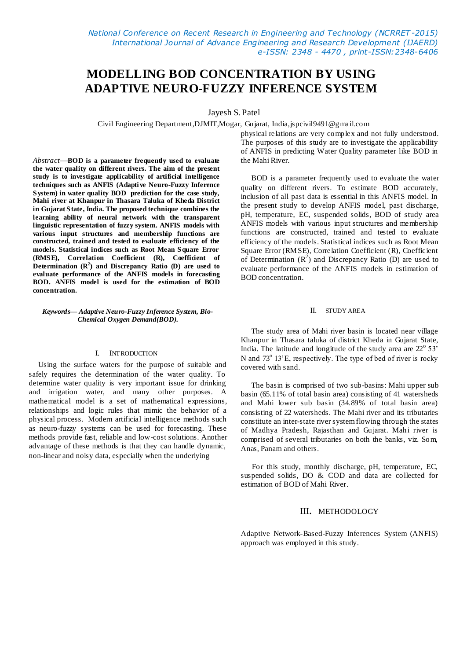*National Conference on Recent Research in Engineering and Technology (NCRRET -2015) International Journal of Advance Engineering and Research Development (IJAERD) e-ISSN: 2348 - 4470 , print-ISSN:2348-6406*

# **MODELLING BOD CONCENTRATION BY USING ADAPTIVE NEURO-FUZZY INFERENCE SYSTEM**

Jayesh S. Patel

Civil Engineering Department,DJMIT,Mogar, Gujarat, India,jspcivil9491@gmail.com

*Abstract*—**BOD is a parameter frequently used to evaluate the water quality on different rivers. The aim of the present study is to investigate applicability of artificial intelligence techniques such as ANFIS (Adapti ve Neuro-Fuzzy Inference System) in water quality BOD prediction for the case study, Mahi river at Khanpur in Thasara Taluka of Kheda District in Gujarat State, India. The proposed technique combines the learning ability of neural network with the transparent linguistic representation of fuzzy system. ANFIS models with various input structures and membership functions are constructed, trained and tested to evaluate efficiency of the models. Statistical indices such as Root Mean Square Error (RMSE), Correlation Coefficient (R), Coefficient of Determination (R<sup>2</sup> ) and Discrepancy Ratio (D) are used to evaluate performance of the ANFIS models in forecasting BOD. ANFIS model is used for the estimation of BOD concentration.**

#### *Keywords— Adaptive Neuro-Fuzzy Inference System, Bio-Chemical Oxygen Demand(BOD).*

#### I. INTRODUCTION

 Using the surface waters for the purpose of suitable and safely requires the determination of the water quality. To determine water quality is very important issue for drinking and irrigation water, and many other purposes. A mathematical model is a set of mathematical expressions, relationships and logic rules that mimic the behavior of a physical process. Modern artificial intelligence methods such as neuro-fuzzy systems can be used for forecasting. These methods provide fast, reliable and low-cost solutions. Another advantage of these methods is that they can handle dynamic, non-linear and noisy data, especially when the underlying

physical relations are very complex and not fully understood. The purposes of this study are to investigate the applicability of ANFIS in predicting Water Quality parameter like BOD in the Mahi River.

BOD is a parameter frequently used to evaluate the water quality on different rivers. To estimate BOD accurately, inclusion of all past data is essential in this ANFIS model. In the present study to develop ANFIS model, past discharge, pH, temperature, EC, suspended solids, BOD of study area ANFIS models with various input structures and membership functions are constructed, trained and tested to evaluate efficiency of the models. Statistical indices such as Root Mean Square Error (RMSE), Correlation Coefficient (R), Coefficient of Determination  $(R^2)$  and Discrepancy Ratio (D) are used to evaluate performance of the ANFIS models in estimation of BOD concentration.

## II. STUDY AREA

The study area of Mahi river basin is located near village Khanpur in Thasara taluka of district Kheda in Gujarat State, India. The latitude and longitude of the study area are  $22^{\circ}$  53' N and  $73^{\circ}$  13'E, respectively. The type of bed of river is rocky covered with sand.

The basin is comprised of two sub-basins: Mahi upper sub basin (65.11% of total basin area) consisting of 41 watersheds and Mahi lower sub basin (34.89% of total basin area) consisting of 22 watersheds. The Mahi river and its tributaries constitute an inter-state river system flowing through the states of Madhya Pradesh, Rajasthan and Gujarat. Mahi river is comprised of several tributaries on both the banks, viz. Som, Anas, Panam and others.

 For this study, monthly discharge, pH, temperature, EC, suspended solids, DO & COD and data are collected for estimation of BOD of Mahi River.

# III. METHODOLOGY

Adaptive Network-Based-Fuzzy Inferences System (ANFIS) approach was employed in this study.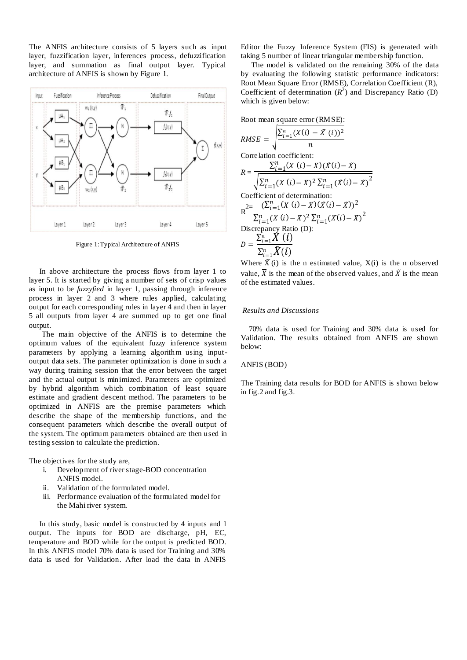The ANFIS architecture consists of 5 layers such as input layer, fuzzification layer, inferences process, defuzzification layer, and summation as final output layer. Typical architecture of ANFIS is shown by Figure 1.



Figure 1: Typical Architecture of ANFIS

In above architecture the process flows from layer 1 to layer 5. It is started by giving a number of sets of crisp values as input to be *fuzzyfied* in layer 1, passing through inference process in layer 2 and 3 where rules applied, calculating output for each corresponding rules in layer 4 and then in layer 5 all outputs from layer 4 are summed up to get one final output.

 The main objective of the ANFIS is to determine the optimum values of the equivalent fuzzy inference system parameters by applying a learning algorithm using inputoutput data sets. The parameter optimization is done in such a way during training session that the error between the target and the actual output is minimized. Parameters are optimized by hybrid algorithm which combination of least square estimate and gradient descent method. The parameters to be optimized in ANFIS are the premise parameters which describe the shape of the membership functions, and the consequent parameters which describe the overall output of the system. The optimum parameters obtained are then used in testing session to calculate the prediction.

The objectives for the study are,

- i. Development of river stage-BOD concentration ANFIS model.
- ii. Validation of the formulated model.
- iii. Performance evaluation of the formulated model for the Mahi river system.

In this study, basic model is constructed by 4 inputs and 1 output. The inputs for BOD are discharge, pH, EC, temperature and BOD while for the output is predicted BOD. In this ANFIS model 70% data is used for Training and 30% data is used for Validation. After load the data in ANFIS

Editor the Fuzzy Inference System (FIS) is generated with taking 5 number of linear triangular membership function.

The model is validated on the remaining 30% of the data by evaluating the following statistic performance indicators: Root Mean Square Error (RMSE), Correlation Coefficient (R), Coefficient of determination  $(R^2)$  and Discrepancy Ratio (D) which is given below:

Root mean square error (RMSE):

RMSE = 
$$
\sqrt{\frac{\sum_{i=1}^{n} (X(i) - \bar{X}(i))^2}{n}}
$$
  
\nCorrelation coefficient:  
\n
$$
R = \frac{\sum_{i=1}^{n} (X(i) - \bar{X})(\bar{X}(i) - \bar{X})}{\sqrt{\sum_{i=1}^{n} (X(i) - \bar{X})^2 \sum_{i=1}^{n} (X(i) - \bar{X})^2}}
$$
  
\nCoefficient of determination:  
\n
$$
R^{2} = \frac{(\sum_{i=1}^{n} (X(i) - \bar{X})(\bar{X}(i) - \bar{X}))^2}{\sum_{i=1}^{n} (X(i) - \bar{X})^2 \sum_{i=1}^{n} (\bar{X}(i) - \bar{X})^2}
$$
  
\nDiscrepancy Ratio (D):  
\n
$$
D = \frac{\sum_{i=1}^{n} \bar{X}(i)}{\sum_{i=1}^{n} \bar{X}(i)}
$$

Where  $\hat{X}(i)$  is the n estimated value,  $X(i)$  is the n observed value.  $\overline{X}$  is the mean of the observed values, and  $\overline{X}$  is the mean of the estimated values.

# *Results and Discussions*

70% data is used for Training and 30% data is used for Validation. The results obtained from ANFIS are shown below:

#### ANFIS (BOD)

The Training data results for BOD for ANFIS is shown below in fig.2 and fig.3.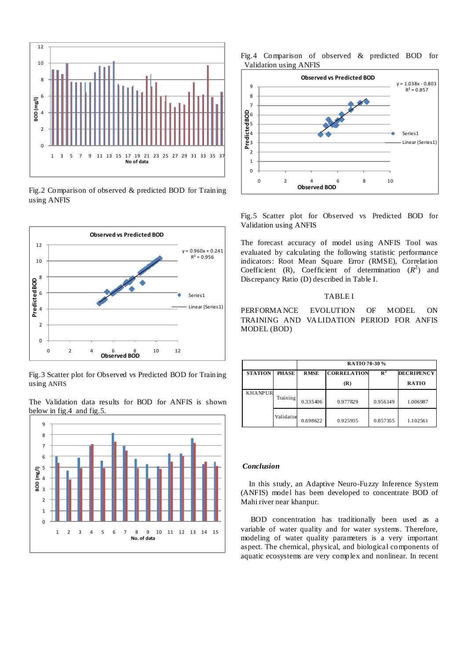

Fig.2 Comparison of observed & predicted BOD for Training using ANFIS



Fig.3 Scatter plot for Observed vs Predicted BOD for Training using ANFIS

The Validation data results for BOD for ANFIS is shown below in fig.4 and fig.5.







Fig.5 Scatter plot for Observed vs Predicted BOD for Validation using ANFIS

The forecast accuracy of model using ANFIS Tool was evaluated by calculating the following statistic performance indicators: Root Mean Square Error (RMSE), Correlation Coefficient (R), Coefficient of determination  $(R^2)$  and Discrepancy Ratio (D) described in Table I.

# TABLE I

PERFORMANCE EVOLUTION OF MODEL ON TRAINING AND VALIDATION PERIOD FOR ANFIS MODEL (BOD)

|                |            | RATIO 70-30% |                    |                |                   |
|----------------|------------|--------------|--------------------|----------------|-------------------|
| <b>STATION</b> | PHASE      | <b>RMSE</b>  | <b>CORRELATION</b> | $\mathbb{R}^2$ | <b>DECRIPENCY</b> |
|                |            |              | (R)                |                | <b>RATIO</b>      |
| <b>KHANPUR</b> | Training   | 0.335406     | 0.977829           | 0.956149       | 1.006987          |
|                | Validation | 0.698622     | 0.925935           | 0.857355       | 1.102561          |

#### *Conclusion*

In this study, an Adaptive Neuro-Fuzzy Inference System (ANFIS) model has been developed to concentrate BOD of Mahi river near khanpur.

 BOD concentration has traditionally been used as a variable of water quality and for water systems. Therefore, modeling of water quality parameters is a very important aspect. The chemical, physical, and biological components of aquatic ecosystems are very complex and nonlinear. In recent